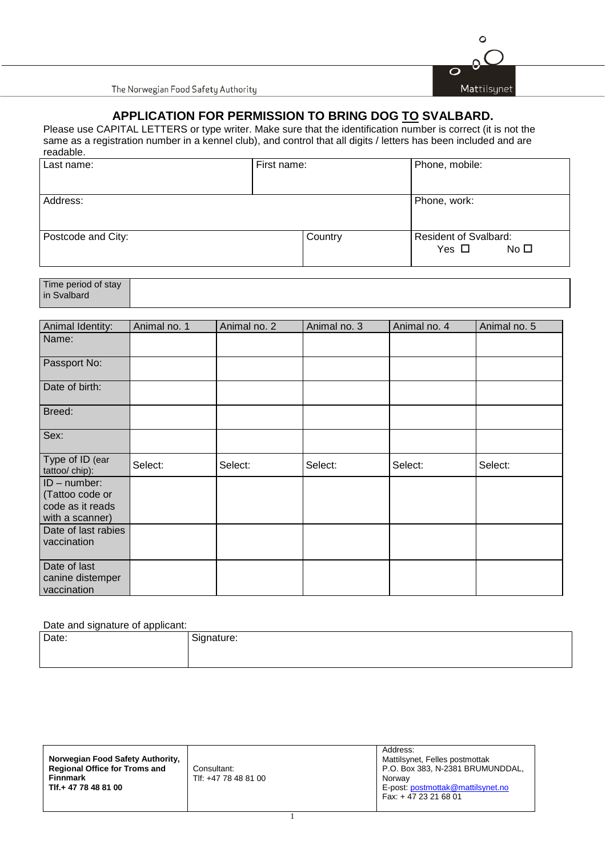

The Norwegian Food Safety Authority

## **APPLICATION FOR PERMISSION TO BRING DOG TO SVALBARD.**

Please use CAPITAL LETTERS or type writer. Make sure that the identification number is correct (it is not the same as a registration number in a kennel club), and control that all digits / letters has been included and are readable.

| Last name:         | First name: | Phone, mobile:                                             |  |
|--------------------|-------------|------------------------------------------------------------|--|
| Address:           |             | Phone, work:                                               |  |
| Postcode and City: | Country     | <b>Resident of Svalbard:</b><br>No $\square$<br>Yes $\Box$ |  |

Time period of stay in Svalbard

| Animal Identity:                                                         | Animal no. 1 | Animal no. 2 | Animal no. 3 | Animal no. 4 | Animal no. 5 |
|--------------------------------------------------------------------------|--------------|--------------|--------------|--------------|--------------|
| Name:                                                                    |              |              |              |              |              |
| Passport No:                                                             |              |              |              |              |              |
| Date of birth:                                                           |              |              |              |              |              |
| Breed:                                                                   |              |              |              |              |              |
| Sex:                                                                     |              |              |              |              |              |
| Type of ID (ear<br>tattoo/ chip):                                        | Select:      | Select:      | Select:      | Select:      | Select:      |
| $ID$ – number:<br>(Tattoo code or<br>code as it reads<br>with a scanner) |              |              |              |              |              |
| Date of last rabies<br>vaccination                                       |              |              |              |              |              |
| Date of last<br>canine distemper<br>vaccination                          |              |              |              |              |              |

## Date and signature of applicant:

| Date: | - -<br>Signature: |
|-------|-------------------|
|       |                   |

**Norwegian Food Safety Authority, Regional Office for Troms and Finnmark Tlf.+ 47 78 48 81 00** Consultant: Tlf: +47 78 48 81 00 Address: Mattilsynet, Felles postmottak P.O. Box 383, N-2381 BRUMUNDDAL, Norway E-post[: postmottak@mattilsynet.no](mailto:postmottak@mattilsynet.no) Fax: + 47 23 21 68 01